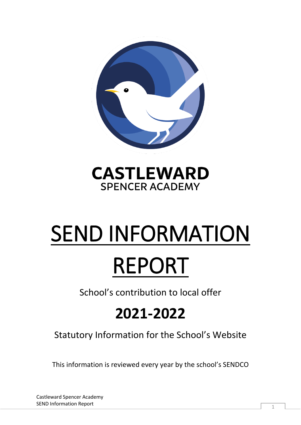

## **CASTLEWARD SPENCER ACADEMY**

# SEND INFORMATION REPORT

School's contribution to local offer

## **2021-2022**

Statutory Information for the School's Website

This information is reviewed every year by the school's SENDCO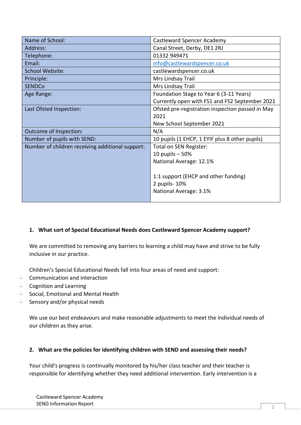| Name of School:                                  | Castleward Spencer Academy                       |
|--------------------------------------------------|--------------------------------------------------|
| Address:                                         | Canal Street, Derby, DE1 2RJ                     |
| Telephone:                                       | 01332 949471                                     |
| Email:                                           | info@castlewardspencer.co.uk                     |
| <b>School Website:</b>                           | castlewardspencer.co.uk                          |
| Principle:                                       | Mrs Lindsay Trail                                |
| <b>SENDCo</b>                                    | Mrs Lindsay Trail                                |
| Age Range:                                       | Foundation Stage to Year 6 (3-11 Years)          |
|                                                  | Currently open with FS1 and FS2 September 2021   |
| Last Ofsted Inspection:                          | Ofsted pre-registration inspection passed in May |
|                                                  | 2021                                             |
|                                                  | New School September 2021                        |
| Outcome of Inspection:                           | N/A                                              |
| Number of pupils with SEND:                      | 10 pupils (1 EHCP, 1 EYIF plus 8 other pupils)   |
| Number of children receiving additional support: | Total on SEN Register:                           |
|                                                  | 10 pupils $-50%$                                 |
|                                                  | National Average: 12.1%                          |
|                                                  |                                                  |
|                                                  | 1:1 support (EHCP and other funding)             |
|                                                  | 2 pupils- 10%                                    |
|                                                  | National Average: 3.1%                           |
|                                                  |                                                  |

#### **1. What sort of Special Educational Needs does Castleward Spencer Academy support?**

We are committed to removing any barriers to learning a child may have and strive to be fully inclusive in our practice.

Children's Special Educational Needs fall into four areas of need and support:

- Communication and interaction
- Cognition and Learning
- Social, Emotional and Mental Health
- Sensory and/or physical needs

We use our best endeavours and make reasonable adjustments to meet the individual needs of our children as they arise.

#### **2. What are the policies for identifying children with SEND and assessing their needs?**

Your child's progress is continually monitored by his/her class teacher and their teacher is responsible for identifying whether they need additional intervention. Early intervention is a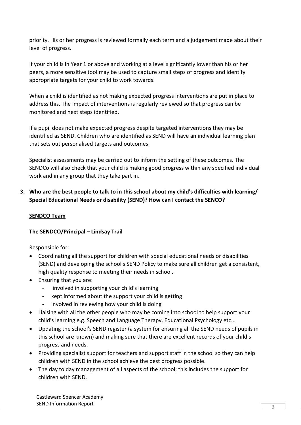priority. His or her progress is reviewed formally each term and a judgement made about their level of progress.

If your child is in Year 1 or above and working at a level significantly lower than his or her peers, a more sensitive tool may be used to capture small steps of progress and identify appropriate targets for your child to work towards.

When a child is identified as not making expected progress interventions are put in place to address this. The impact of interventions is regularly reviewed so that progress can be monitored and next steps identified.

If a pupil does not make expected progress despite targeted interventions they may be identified as SEND. Children who are identified as SEND will have an individual learning plan that sets out personalised targets and outcomes.

Specialist assessments may be carried out to inform the setting of these outcomes. The SENDCo will also check that your child is making good progress within any specified individual work and in any group that they take part in.

#### **3. Who are the best people to talk to in this school about my child's difficulties with learning/ Special Educational Needs or disability (SEND)? How can I contact the SENCO?**

#### **SENDCO Team**

#### **The SENDCO/Principal – Lindsay Trail**

Responsible for:

- Coordinating all the support for children with special educational needs or disabilities (SEND) and developing the school's SEND Policy to make sure all children get a consistent, high quality response to meeting their needs in school.
- Ensuring that you are:
	- involved in supporting your child's learning
	- kept informed about the support your child is getting
	- involved in reviewing how your child is doing
- Liaising with all the other people who may be coming into school to help support your child's learning e.g. Speech and Language Therapy, Educational Psychology etc...
- Updating the school's SEND register (a system for ensuring all the SEND needs of pupils in this school are known) and making sure that there are excellent records of your child's progress and needs.
- Providing specialist support for teachers and support staff in the school so they can help children with SEND in the school achieve the best progress possible.
- The day to day management of all aspects of the school; this includes the support for children with SEND.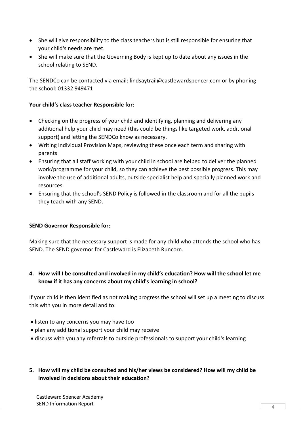- She will give responsibility to the class teachers but is still responsible for ensuring that your child's needs are met.
- She will make sure that the Governing Body is kept up to date about any issues in the school relating to SEND.

The SENDCo can be contacted via email: lindsaytrail@castlewardspencer.com or by phoning the school: 01332 949471

#### **Your child's class teacher Responsible for:**

- Checking on the progress of your child and identifying, planning and delivering any additional help your child may need (this could be things like targeted work, additional support) and letting the SENDCo know as necessary.
- Writing Individual Provision Maps, reviewing these once each term and sharing with parents
- Ensuring that all staff working with your child in school are helped to deliver the planned work/programme for your child, so they can achieve the best possible progress. This may involve the use of additional adults, outside specialist help and specially planned work and resources.
- Ensuring that the school's SEND Policy is followed in the classroom and for all the pupils they teach with any SEND.

#### **SEND Governor Responsible for:**

Making sure that the necessary support is made for any child who attends the school who has SEND. The SEND governor for Castleward is Elizabeth Runcorn.

**4. How will I be consulted and involved in my child's education? How will the school let me know if it has any concerns about my child's learning in school?** 

If your child is then identified as not making progress the school will set up a meeting to discuss this with you in more detail and to:

- listen to any concerns you may have too
- plan any additional support your child may receive
- discuss with you any referrals to outside professionals to support your child's learning
- **5. How will my child be consulted and his/her views be considered? How will my child be involved in decisions about their education?**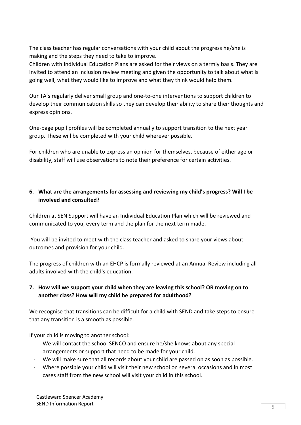The class teacher has regular conversations with your child about the progress he/she is making and the steps they need to take to improve.

Children with Individual Education Plans are asked for their views on a termly basis. They are invited to attend an inclusion review meeting and given the opportunity to talk about what is going well, what they would like to improve and what they think would help them.

Our TA's regularly deliver small group and one-to-one interventions to support children to develop their communication skills so they can develop their ability to share their thoughts and express opinions.

One-page pupil profiles will be completed annually to support transition to the next year group. These will be completed with your child wherever possible.

For children who are unable to express an opinion for themselves, because of either age or disability, staff will use observations to note their preference for certain activities.

### **6. What are the arrangements for assessing and reviewing my child's progress? Will I be involved and consulted?**

Children at SEN Support will have an Individual Education Plan which will be reviewed and communicated to you, every term and the plan for the next term made.

You will be invited to meet with the class teacher and asked to share your views about outcomes and provision for your child.

The progress of children with an EHCP is formally reviewed at an Annual Review including all adults involved with the child's education.

### **7. How will we support your child when they are leaving this school? OR moving on to another class? How will my child be prepared for adulthood?**

We recognise that transitions can be difficult for a child with SEND and take steps to ensure that any transition is a smooth as possible.

If your child is moving to another school:

- We will contact the school SENCO and ensure he/she knows about any special arrangements or support that need to be made for your child.
- We will make sure that all records about your child are passed on as soon as possible.
- Where possible your child will visit their new school on several occasions and in most cases staff from the new school will visit your child in this school.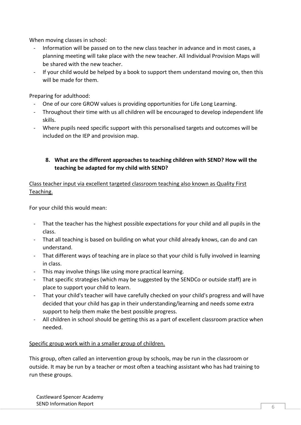When moving classes in school:

- Information will be passed on to the new class teacher in advance and in most cases, a planning meeting will take place with the new teacher. All Individual Provision Maps will be shared with the new teacher.
- If your child would be helped by a book to support them understand moving on, then this will be made for them.

Preparing for adulthood:

- One of our core GROW values is providing opportunities for Life Long Learning.
- Throughout their time with us all children will be encouraged to develop independent life skills.
- Where pupils need specific support with this personalised targets and outcomes will be included on the IEP and provision map.

#### **8. What are the different approaches to teaching children with SEND? How will the teaching be adapted for my child with SEND?**

Class teacher input via excellent targeted classroom teaching also known as Quality First Teaching.

For your child this would mean:

- That the teacher has the highest possible expectations for your child and all pupils in the class.
- That all teaching is based on building on what your child already knows, can do and can understand.
- That different ways of teaching are in place so that your child is fully involved in learning in class.
- This may involve things like using more practical learning.
- That specific strategies (which may be suggested by the SENDCo or outside staff) are in place to support your child to learn.
- That your child's teacher will have carefully checked on your child's progress and will have decided that your child has gap in their understanding/learning and needs some extra support to help them make the best possible progress.
- All children in school should be getting this as a part of excellent classroom practice when needed.

#### Specific group work with in a smaller group of children.

This group, often called an intervention group by schools, may be run in the classroom or outside. It may be run by a teacher or most often a teaching assistant who has had training to run these groups.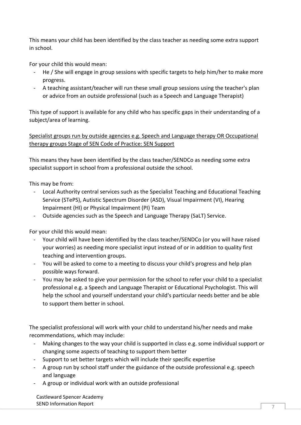This means your child has been identified by the class teacher as needing some extra support in school.

For your child this would mean:

- He / She will engage in group sessions with specific targets to help him/her to make more progress.
- A teaching assistant/teacher will run these small group sessions using the teacher's plan or advice from an outside professional (such as a Speech and Language Therapist)

This type of support is available for any child who has specific gaps in their understanding of a subject/area of learning.

Specialist groups run by outside agencies e.g. Speech and Language therapy OR Occupational therapy groups Stage of SEN Code of Practice: SEN Support

This means they have been identified by the class teacher/SENDCo as needing some extra specialist support in school from a professional outside the school.

This may be from:

- Local Authority central services such as the Specialist Teaching and Educational Teaching Service (STePS), Autistic Spectrum Disorder (ASD), Visual Impairment (VI), Hearing Impairment (HI) or Physical Impairment (PI) Team
- Outside agencies such as the Speech and Language Therapy (SaLT) Service.

For your child this would mean:

- Your child will have been identified by the class teacher/SENDCo (or you will have raised your worries) as needing more specialist input instead of or in addition to quality first teaching and intervention groups.
- You will be asked to come to a meeting to discuss your child's progress and help plan possible ways forward.
- You may be asked to give your permission for the school to refer your child to a specialist professional e.g. a Speech and Language Therapist or Educational Psychologist. This will help the school and yourself understand your child's particular needs better and be able to support them better in school.

The specialist professional will work with your child to understand his/her needs and make recommendations, which may include:

- Making changes to the way your child is supported in class e.g. some individual support or changing some aspects of teaching to support them better
- Support to set better targets which will include their specific expertise
- A group run by school staff under the guidance of the outside professional e.g. speech and language
- A group or individual work with an outside professional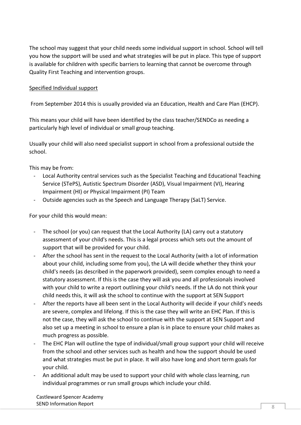The school may suggest that your child needs some individual support in school. School will tell you how the support will be used and what strategies will be put in place. This type of support is available for children with specific barriers to learning that cannot be overcome through Quality First Teaching and intervention groups.

#### Specified Individual support

From September 2014 this is usually provided via an Education, Health and Care Plan (EHCP).

This means your child will have been identified by the class teacher/SENDCo as needing a particularly high level of individual or small group teaching.

Usually your child will also need specialist support in school from a professional outside the school.

This may be from:

- Local Authority central services such as the Specialist Teaching and Educational Teaching Service (STePS), Autistic Spectrum Disorder (ASD), Visual Impairment (VI), Hearing Impairment (HI) or Physical Impairment (PI) Team
- Outside agencies such as the Speech and Language Therapy (SaLT) Service.

For your child this would mean:

- The school (or you) can request that the Local Authority (LA) carry out a statutory assessment of your child's needs. This is a legal process which sets out the amount of support that will be provided for your child.
- After the school has sent in the request to the Local Authority (with a lot of information about your child, including some from you), the LA will decide whether they think your child's needs (as described in the paperwork provided), seem complex enough to need a statutory assessment. If this is the case they will ask you and all professionals involved with your child to write a report outlining your child's needs. If the LA do not think your child needs this, it will ask the school to continue with the support at SEN Support
- After the reports have all been sent in the Local Authority will decide if your child's needs are severe, complex and lifelong. If this is the case they will write an EHC Plan. If this is not the case, they will ask the school to continue with the support at SEN Support and also set up a meeting in school to ensure a plan is in place to ensure your child makes as much progress as possible.
- The EHC Plan will outline the type of individual/small group support your child will receive from the school and other services such as health and how the support should be used and what strategies must be put in place. It will also have long and short term goals for your child.
- An additional adult may be used to support your child with whole class learning, run individual programmes or run small groups which include your child.

Castleward Spencer Academy SEND Information Report  $\overline{8}$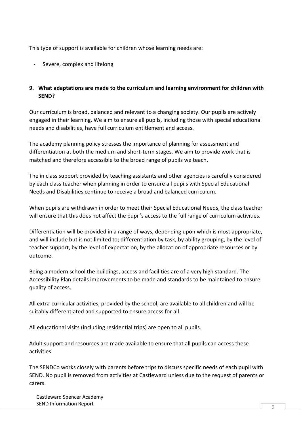This type of support is available for children whose learning needs are:

- Severe, complex and lifelong

#### **9. What adaptations are made to the curriculum and learning environment for children with SEND?**

Our curriculum is broad, balanced and relevant to a changing society. Our pupils are actively engaged in their learning. We aim to ensure all pupils, including those with special educational needs and disabilities, have full curriculum entitlement and access.

The academy planning policy stresses the importance of planning for assessment and differentiation at both the medium and short-term stages. We aim to provide work that is matched and therefore accessible to the broad range of pupils we teach.

The in class support provided by teaching assistants and other agencies is carefully considered by each class teacher when planning in order to ensure all pupils with Special Educational Needs and Disabilities continue to receive a broad and balanced curriculum.

When pupils are withdrawn in order to meet their Special Educational Needs, the class teacher will ensure that this does not affect the pupil's access to the full range of curriculum activities.

Differentiation will be provided in a range of ways, depending upon which is most appropriate, and will include but is not limited to; differentiation by task, by ability grouping, by the level of teacher support, by the level of expectation, by the allocation of appropriate resources or by outcome.

Being a modern school the buildings, access and facilities are of a very high standard. The Accessibility Plan details improvements to be made and standards to be maintained to ensure quality of access.

All extra-curricular activities, provided by the school, are available to all children and will be suitably differentiated and supported to ensure access for all.

All educational visits (including residential trips) are open to all pupils.

Adult support and resources are made available to ensure that all pupils can access these activities.

The SENDCo works closely with parents before trips to discuss specific needs of each pupil with SEND. No pupil is removed from activities at Castleward unless due to the request of parents or carers.

Castleward Spencer Academy SEND Information Report And The SEND Information Report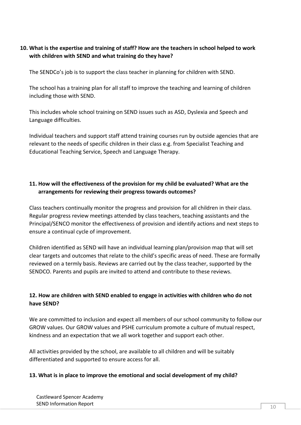#### **10. What is the expertise and training of staff? How are the teachers in school helped to work with children with SEND and what training do they have?**

The SENDCo's job is to support the class teacher in planning for children with SEND.

The school has a training plan for all staff to improve the teaching and learning of children including those with SEND.

This includes whole school training on SEND issues such as ASD, Dyslexia and Speech and Language difficulties.

Individual teachers and support staff attend training courses run by outside agencies that are relevant to the needs of specific children in their class e.g. from Specialist Teaching and Educational Teaching Service, Speech and Language Therapy.

#### **11. How will the effectiveness of the provision for my child be evaluated? What are the arrangements for reviewing their progress towards outcomes?**

Class teachers continually monitor the progress and provision for all children in their class. Regular progress review meetings attended by class teachers, teaching assistants and the Principal/SENCO monitor the effectiveness of provision and identify actions and next steps to ensure a continual cycle of improvement.

Children identified as SEND will have an individual learning plan/provision map that will set clear targets and outcomes that relate to the child's specific areas of need. These are formally reviewed on a termly basis. Reviews are carried out by the class teacher, supported by the SENDCO. Parents and pupils are invited to attend and contribute to these reviews.

### **12. How are children with SEND enabled to engage in activities with children who do not have SEND?**

We are committed to inclusion and expect all members of our school community to follow our GROW values. Our GROW values and PSHE curriculum promote a culture of mutual respect, kindness and an expectation that we all work together and support each other.

All activities provided by the school, are available to all children and will be suitably differentiated and supported to ensure access for all.

#### **13. What is in place to improve the emotional and social development of my child?**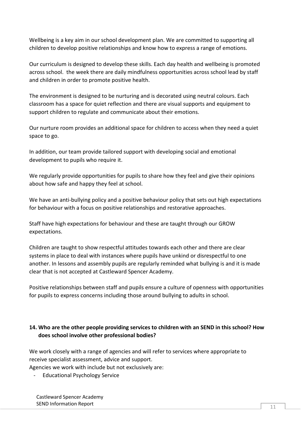Wellbeing is a key aim in our school development plan. We are committed to supporting all children to develop positive relationships and know how to express a range of emotions.

Our curriculum is designed to develop these skills. Each day health and wellbeing is promoted across school. the week there are daily mindfulness opportunities across school lead by staff and children in order to promote positive health.

The environment is designed to be nurturing and is decorated using neutral colours. Each classroom has a space for quiet reflection and there are visual supports and equipment to support children to regulate and communicate about their emotions.

Our nurture room provides an additional space for children to access when they need a quiet space to go.

In addition, our team provide tailored support with developing social and emotional development to pupils who require it.

We regularly provide opportunities for pupils to share how they feel and give their opinions about how safe and happy they feel at school.

We have an anti-bullying policy and a positive behaviour policy that sets out high expectations for behaviour with a focus on positive relationships and restorative approaches.

Staff have high expectations for behaviour and these are taught through our GROW expectations.

Children are taught to show respectful attitudes towards each other and there are clear systems in place to deal with instances where pupils have unkind or disrespectful to one another. In lessons and assembly pupils are regularly reminded what bullying is and it is made clear that is not accepted at Castleward Spencer Academy.

Positive relationships between staff and pupils ensure a culture of openness with opportunities for pupils to express concerns including those around bullying to adults in school.

### **14. Who are the other people providing services to children with an SEND in this school? How does school involve other professional bodies?**

We work closely with a range of agencies and will refer to services where appropriate to receive specialist assessment, advice and support.

Agencies we work with include but not exclusively are:

- Educational Psychology Service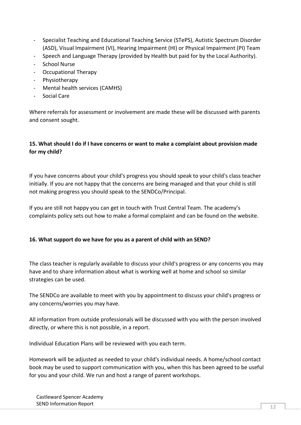- Specialist Teaching and Educational Teaching Service (STePS), Autistic Spectrum Disorder (ASD), Visual Impairment (VI), Hearing Impairment (HI) or Physical Impairment (PI) Team
- Speech and Language Therapy (provided by Health but paid for by the Local Authority).
- School Nurse
- Occupational Therapy
- Physiotherapy
- Mental health services (CAMHS)
- Social Care

Where referrals for assessment or involvement are made these will be discussed with parents and consent sought.

#### **15. What should I do if I have concerns or want to make a complaint about provision made for my child?**

If you have concerns about your child's progress you should speak to your child's class teacher initially. If you are not happy that the concerns are being managed and that your child is still not making progress you should speak to the SENDCo/Principal.

If you are still not happy you can get in touch with Trust Central Team. The academy's complaints policy sets out how to make a formal complaint and can be found on the website.

#### **16. What support do we have for you as a parent of child with an SEND?**

The class teacher is regularly available to discuss your child's progress or any concerns you may have and to share information about what is working well at home and school so similar strategies can be used.

The SENDCo are available to meet with you by appointment to discuss your child's progress or any concerns/worries you may have.

All information from outside professionals will be discussed with you with the person involved directly, or where this is not possible, in a report.

Individual Education Plans will be reviewed with you each term.

Homework will be adjusted as needed to your child's individual needs. A home/school contact book may be used to support communication with you, when this has been agreed to be useful for you and your child. We run and host a range of parent workshops.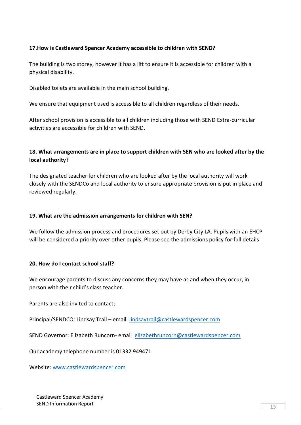#### **17.How is Castleward Spencer Academy accessible to children with SEND?**

The building is two storey, however it has a lift to ensure it is accessible for children with a physical disability.

Disabled toilets are available in the main school building.

We ensure that equipment used is accessible to all children regardless of their needs.

After school provision is accessible to all children including those with SEND Extra-curricular activities are accessible for children with SEND.

#### **18. What arrangements are in place to support children with SEN who are looked after by the local authority?**

The designated teacher for children who are looked after by the local authority will work closely with the SENDCo and local authority to ensure appropriate provision is put in place and reviewed regularly.

#### **19. What are the admission arrangements for children with SEN?**

We follow the admission process and procedures set out by Derby City LA. Pupils with an EHCP will be considered a priority over other pupils. Please see the admissions policy for full details

#### **20. How do I contact school staff?**

We encourage parents to discuss any concerns they may have as and when they occur, in person with their child's class teacher.

Parents are also invited to contact;

Principal/SENDCO: Lindsay Trail – email: [lindsaytrail@castlewardspencer.com](mailto:lindsaytrail@castlewardspencer.com)

SEND Governor: Elizabeth Runcorn- email [elizabethruncorn@castlewardspencer.com](mailto:elizabethruncorn@castlewardspencer.com)

Our academy telephone number is 01332 949471

Website: [www.castlewardspencer.com](http://www.castlewardspencer.com/)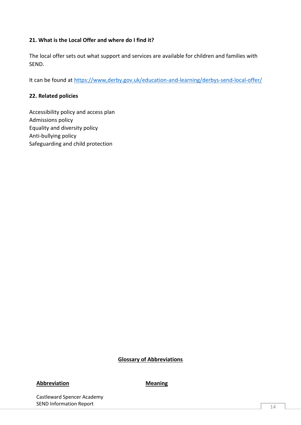#### **21. What is the Local Offer and where do I find it?**

The local offer sets out what support and services are available for children and families with SEND.

It can be found at<https://www,derby.gov.uk/education-and-learning/derbys-send-local-offer/>

#### **22. Related policies**

Accessibility policy and access plan Admissions policy Equality and diversity policy Anti-bullying policy Safeguarding and child protection

#### **Glossary of Abbreviations**

#### **Abbreviation Meaning**